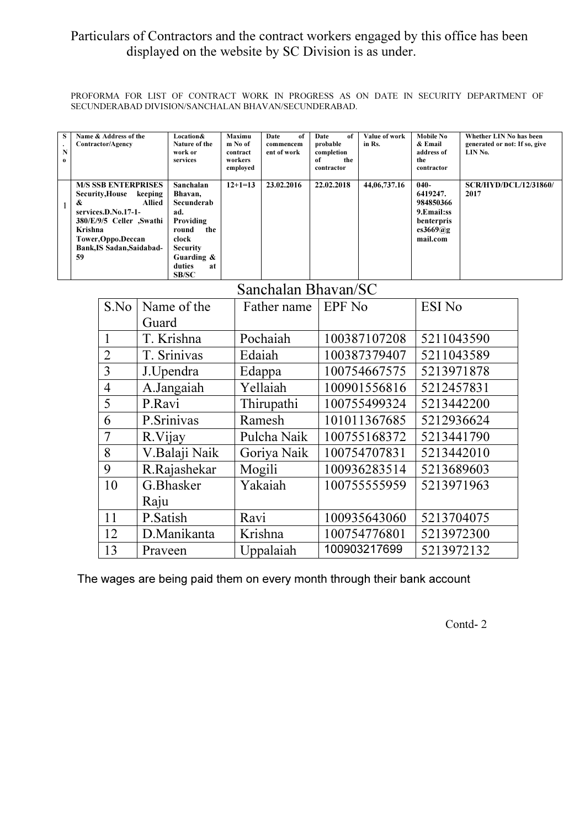## Particulars of Contractors and the contract workers engaged by this office has been displayed on the website by SC Division is as under.

PROFORMA FOR LIST OF CONTRACT WORK IN PROGRESS AS ON DATE IN SECURITY DEPARTMENT OF SECUNDERABAD DIVISION/SANCHALAN BHAVAN/SECUNDERABAD.

|    | S<br>$\ddot{\phantom{0}}$<br>$\mathbf N$<br>$\mathbf 0$ | Name & Address of the<br>Contractor/Agency                                                                                                                                                                    |              | Location&<br>Nature of the<br>work or<br>services                                                                                         | Maximu<br>m No of<br>contract<br>workers<br>employed | Date<br>of<br>commencem<br>ent of work | <b>Date</b><br>of<br>probable<br>completion<br>of<br>the<br>contractor | Value of work<br>in Rs. | <b>Mobile No</b><br>& Email<br>address of<br>the<br>contractor                            | Whether LIN No has been<br>generated or not: If so, give<br>LIN No. |  |
|----|---------------------------------------------------------|---------------------------------------------------------------------------------------------------------------------------------------------------------------------------------------------------------------|--------------|-------------------------------------------------------------------------------------------------------------------------------------------|------------------------------------------------------|----------------------------------------|------------------------------------------------------------------------|-------------------------|-------------------------------------------------------------------------------------------|---------------------------------------------------------------------|--|
|    | $\mathbf{1}$                                            | <b>M/S SSB ENTERPRISES</b><br><b>Security, House</b><br>keeping<br>&<br><b>Allied</b><br>services.D.No.17-1-<br>380/E/9/5 Celler ,Swathi<br>Krishna<br>Tower, Oppo. Deccan<br>Bank, IS Sadan, Saidabad-<br>59 |              | Sanchalan<br>Bhavan,<br>Secunderab<br>ad.<br>Providing<br>round<br>the<br>clock<br><b>Security</b><br>Guarding &<br>duties<br>at<br>SB/SC | $12+1=13$                                            | 23.02.2016                             | 22.02.2018                                                             | 44,06,737.16            | $040 -$<br>6419247.<br>984850366<br>9. Email: ss<br>benterpris<br>es $3669@g$<br>mail.com | <b>SCR/HYD/DCL/12/31860/</b><br>2017                                |  |
|    | Sanchalan Bhavan/SC                                     |                                                                                                                                                                                                               |              |                                                                                                                                           |                                                      |                                        |                                                                        |                         |                                                                                           |                                                                     |  |
|    | S.No                                                    |                                                                                                                                                                                                               |              | Name of the                                                                                                                               |                                                      | Father name                            |                                                                        | <b>EPF</b> No           |                                                                                           | <b>ESI No</b>                                                       |  |
|    |                                                         |                                                                                                                                                                                                               |              | Guard                                                                                                                                     |                                                      |                                        |                                                                        |                         |                                                                                           |                                                                     |  |
| 1  |                                                         |                                                                                                                                                                                                               |              | T. Krishna                                                                                                                                |                                                      | Pochaiah                               |                                                                        | 100387107208            |                                                                                           | 5211043590                                                          |  |
|    | $\overline{2}$                                          |                                                                                                                                                                                                               |              | T. Srinivas                                                                                                                               |                                                      | Edaiah                                 |                                                                        | 100387379407            |                                                                                           | 5211043589                                                          |  |
|    | 3                                                       |                                                                                                                                                                                                               |              | J.Upendra                                                                                                                                 |                                                      | Edappa                                 |                                                                        | 100754667575            |                                                                                           | 5213971878                                                          |  |
|    |                                                         | $\overline{4}$<br>A.Jangaiah                                                                                                                                                                                  |              |                                                                                                                                           | Yellaiah                                             |                                        |                                                                        | 100901556816            | 5212457831                                                                                |                                                                     |  |
|    | 5<br>P.Ravi                                             |                                                                                                                                                                                                               |              |                                                                                                                                           | Thirupathi                                           |                                        | 100755499324                                                           | 5213442200              |                                                                                           |                                                                     |  |
|    |                                                         | P.Srinivas<br>6                                                                                                                                                                                               |              |                                                                                                                                           |                                                      | Ramesh                                 |                                                                        | 101011367685            | 5212936624                                                                                |                                                                     |  |
|    |                                                         | 7<br>R.Vijay                                                                                                                                                                                                  |              |                                                                                                                                           |                                                      | Pulcha Naik                            |                                                                        | 100755168372            | 5213441790                                                                                |                                                                     |  |
|    | 8                                                       |                                                                                                                                                                                                               |              | V.Balaji Naik                                                                                                                             | Goriya Naik                                          |                                        |                                                                        | 100754707831            |                                                                                           | 5213442010                                                          |  |
| 9  |                                                         |                                                                                                                                                                                                               | R.Rajashekar |                                                                                                                                           | Mogili                                               |                                        | 100936283514                                                           |                         | 5213689603                                                                                |                                                                     |  |
|    | 10                                                      |                                                                                                                                                                                                               | G.Bhasker    |                                                                                                                                           |                                                      | Yakaiah                                |                                                                        | 100755555959            |                                                                                           | 5213971963                                                          |  |
|    |                                                         | Raju                                                                                                                                                                                                          |              |                                                                                                                                           |                                                      |                                        |                                                                        |                         |                                                                                           |                                                                     |  |
| 11 |                                                         | P.Satish                                                                                                                                                                                                      |              | Ravi                                                                                                                                      |                                                      |                                        | 100935643060                                                           |                         | 5213704075                                                                                |                                                                     |  |
| 12 |                                                         |                                                                                                                                                                                                               | D.Manikanta  | Krishna                                                                                                                                   |                                                      |                                        | 100754776801                                                           | 5213972300              |                                                                                           |                                                                     |  |
| 13 |                                                         |                                                                                                                                                                                                               |              |                                                                                                                                           | Praveen                                              |                                        | Uppalaiah                                                              |                         | 100903217699                                                                              | 5213972132                                                          |  |

The wages are being paid them on every month through their bank account

Contd- 2